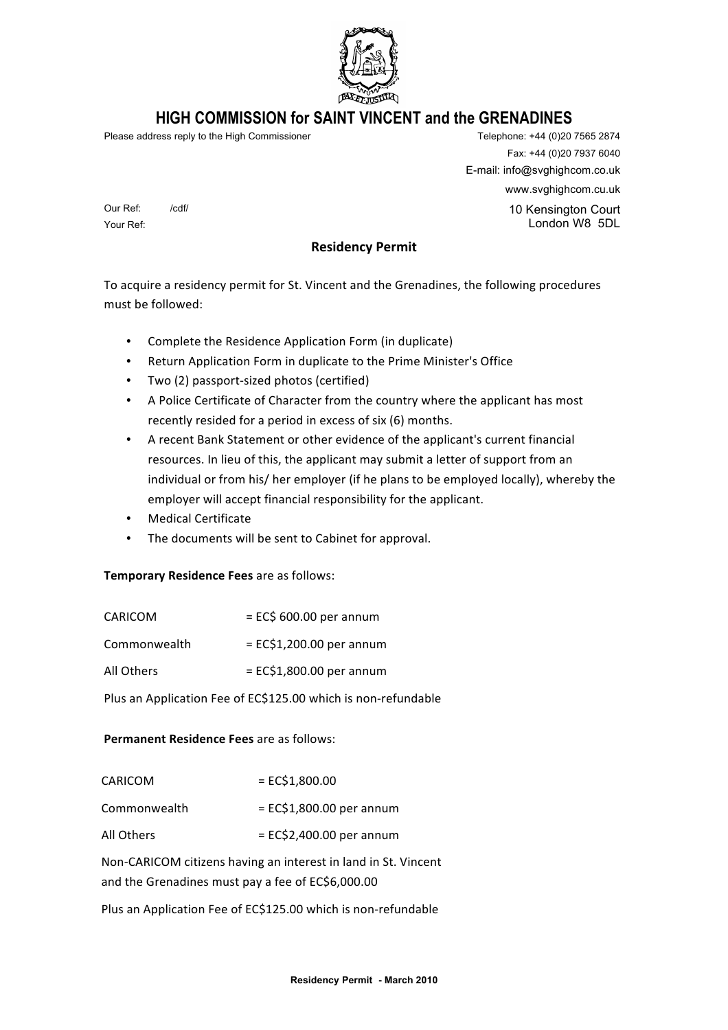

# **HIGH COMMISSION for SAINT VINCENT and the GRENADINES**

Please address reply to the High Commissioner Telephone: +44 (0)20 7565 2874

Our Ref: /cdf/

Your Ref:

Fax: +44 (0)20 7937 6040 E-mail: info@svghighcom.co.uk www.svghighcom.cu.uk 10 Kensington Court London W8 5DL

**Residency Permit** 

To acquire a residency permit for St. Vincent and the Grenadines, the following procedures must be followed:

- Complete the Residence Application Form (in duplicate)
- Return Application Form in duplicate to the Prime Minister's Office
- Two (2) passport-sized photos (certified)
- A Police Certificate of Character from the country where the applicant has most recently resided for a period in excess of six (6) months.
- A recent Bank Statement or other evidence of the applicant's current financial resources. In lieu of this, the applicant may submit a letter of support from an individual or from his/ her employer (if he plans to be employed locally), whereby the employer will accept financial responsibility for the applicant.
- Medical Certificate
- The documents will be sent to Cabinet for approval.

# **Temporary Residence Fees** are as follows:

| CARICOM      | $=$ EC\$ 600.00 per annum   |
|--------------|-----------------------------|
| Commonwealth | $= E C $1,200.00$ per annum |
| All Others   | $= ECS1,800.00$ per annum   |
|              |                             |

# Plus an Application Fee of EC\$125.00 which is non-refundable

# **Permanent Residence Fees** are as follows:

| CARICOM      | $= ECS1,800.00$             |
|--------------|-----------------------------|
| Commonwealth | $= E C $1,800.00$ per annum |
| All Others   | $=$ EC\$2,400.00 per annum  |

Non-CARICOM citizens having an interest in land in St. Vincent and the Grenadines must pay a fee of EC\$6,000.00

Plus an Application Fee of EC\$125.00 which is non-refundable